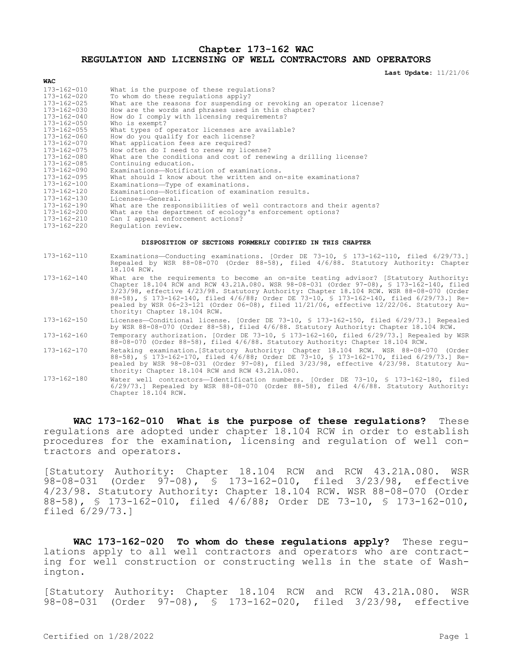### **Chapter 173-162 WAC REGULATION AND LICENSING OF WELL CONTRACTORS AND OPERATORS**

**Last Update:** 11/21/06

| 173-162-010<br>173-162-020<br>173-162-025<br>173-162-030<br>173-162-040<br>173-162-050 | What is the purpose of these regulations?<br>To whom do these regulations apply?<br>What are the reasons for suspending or revoking an operator license?<br>How are the words and phrases used in this chapter?<br>How do I comply with licensing requirements?<br>Who is exempt? |
|----------------------------------------------------------------------------------------|-----------------------------------------------------------------------------------------------------------------------------------------------------------------------------------------------------------------------------------------------------------------------------------|
| $173 - 162 - 055$                                                                      | What types of operator licenses are available?                                                                                                                                                                                                                                    |
| 173-162-060                                                                            | How do you qualify for each license?                                                                                                                                                                                                                                              |
| 173-162-070                                                                            | What application fees are required?                                                                                                                                                                                                                                               |
| 173-162-075                                                                            | How often do I need to renew my license?                                                                                                                                                                                                                                          |
| 173-162-080                                                                            | What are the conditions and cost of renewing a drilling license?                                                                                                                                                                                                                  |
| 173-162-085                                                                            | Continuing education.                                                                                                                                                                                                                                                             |
| 173-162-090                                                                            | Examinations-Notification of examinations.                                                                                                                                                                                                                                        |
| 173-162-095                                                                            | What should I know about the written and on-site examinations?                                                                                                                                                                                                                    |
| 173-162-100                                                                            | Examinations-Type of examinations.                                                                                                                                                                                                                                                |
| 173-162-120                                                                            | Examinations-Notification of examination results.                                                                                                                                                                                                                                 |
| 173-162-130                                                                            | Licenses—General.                                                                                                                                                                                                                                                                 |
| $173 - 162 - 190$                                                                      | What are the responsibilities of well contractors and their agents?                                                                                                                                                                                                               |
| 173-162-200                                                                            | What are the department of ecology's enforcement options?                                                                                                                                                                                                                         |
| 173-162-210                                                                            | Can I appeal enforcement actions?                                                                                                                                                                                                                                                 |
| 173-162-220                                                                            | Requlation review.                                                                                                                                                                                                                                                                |
|                                                                                        |                                                                                                                                                                                                                                                                                   |

#### **DISPOSITION OF SECTIONS FORMERLY CODIFIED IN THIS CHAPTER**

| 173-162-110       | Examinations-Conducting examinations. [Order DE 73-10, § 173-162-110, filed 6/29/73.]<br>Repealed by WSR 88-08-070 (Order 88-58), filed 4/6/88. Statutory Authority: Chapter<br>18.104 RCW.                                                                                                                                                                                                                                                                                                                 |
|-------------------|-------------------------------------------------------------------------------------------------------------------------------------------------------------------------------------------------------------------------------------------------------------------------------------------------------------------------------------------------------------------------------------------------------------------------------------------------------------------------------------------------------------|
| 173-162-140       | What are the requirements to become an on-site testing advisor? [Statutory Authority:<br>Chapter 18.104 RCW and RCW 43.21A.080. WSR 98-08-031 (Order 97-08), § 173-162-140, filed<br>3/23/98, effective 4/23/98. Statutory Authority: Chapter 18.104 RCW. WSR 88-08-070 (Order<br>88-58), § 173-162-140, filed 4/6/88; Order DE 73-10, § 173-162-140, filed 6/29/73.] Re-<br>pealed by WSR 06-23-121 (Order 06-08), filed $11/21/06$ , effective $12/22/06$ . Statutory Au-<br>thority: Chapter 18.104 RCW. |
| 173-162-150       | Licenses-Conditional license. [Order DE 73-10, § 173-162-150, filed 6/29/73.] Repealed<br>by WSR 88-08-070 (Order 88-58), filed 4/6/88. Statutory Authority: Chapter 18.104 RCW.                                                                                                                                                                                                                                                                                                                            |
| $173 - 162 - 160$ | Temporary authorization. [Order DE 73-10, § 173-162-160, filed 6/29/73.] Repealed by WSR<br>88-08-070 (Order 88-58), filed 4/6/88. Statutory Authority: Chapter 18.104 RCW.                                                                                                                                                                                                                                                                                                                                 |
| 173-162-170       | Retaking examination. [Statutory Authority: Chapter 18.104 RCW. WSR 88-08-070 (Order<br>88-58), § 173-162-170, filed 4/6/88; Order DE 73-10, § 173-162-170, filed 6/29/73.] Re-<br>pealed by WSR 98-08-031 (Order 97-08), filed 3/23/98, effective 4/23/98. Statutory Au-<br>thority: Chapter 18.104 RCW and RCW 43.21A.080.                                                                                                                                                                                |
| $173 - 162 - 180$ | Water well contractors--Identification numbers. [Order DE 73-10, § 173-162-180, filed<br>$6/29/73.$ Repealed by WSR 88-08-070 (Order 88-58), filed $4/6/88$ . Statutory Authority:                                                                                                                                                                                                                                                                                                                          |

**WAC 173-162-010 What is the purpose of these regulations?** These regulations are adopted under chapter 18.104 RCW in order to establish procedures for the examination, licensing and regulation of well contractors and operators.

[Statutory Authority: Chapter 18.104 RCW and RCW 43.21A.080. WSR 98-08-031 (Order 97-08), § 173-162-010, filed 3/23/98, effective 4/23/98. Statutory Authority: Chapter 18.104 RCW. WSR 88-08-070 (Order 88-58), § 173-162-010, filed 4/6/88; Order DE 73-10, § 173-162-010, filed 6/29/73.]

**WAC 173-162-020 To whom do these regulations apply?** These regulations apply to all well contractors and operators who are contracting for well construction or constructing wells in the state of Washington.

[Statutory Authority: Chapter 18.104 RCW and RCW 43.21A.080. WSR 98-08-031 (Order 97-08), § 173-162-020, filed 3/23/98, effective

Chapter 18.104 RCW.

**WAC**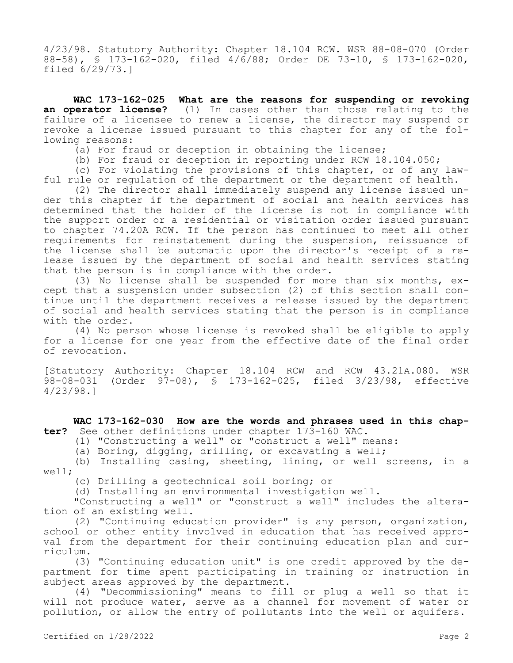4/23/98. Statutory Authority: Chapter 18.104 RCW. WSR 88-08-070 (Order 88-58), § 173-162-020, filed 4/6/88; Order DE 73-10, § 173-162-020, filed 6/29/73.]

**WAC 173-162-025 What are the reasons for suspending or revoking an operator license?** (1) In cases other than those relating to the failure of a licensee to renew a license, the director may suspend or revoke a license issued pursuant to this chapter for any of the following reasons:

- (a) For fraud or deception in obtaining the license;
- (b) For fraud or deception in reporting under RCW 18.104.050;

(c) For violating the provisions of this chapter, or of any lawful rule or regulation of the department or the department of health.

(2) The director shall immediately suspend any license issued under this chapter if the department of social and health services has determined that the holder of the license is not in compliance with the support order or a residential or visitation order issued pursuant to chapter 74.20A RCW. If the person has continued to meet all other requirements for reinstatement during the suspension, reissuance of the license shall be automatic upon the director's receipt of a release issued by the department of social and health services stating that the person is in compliance with the order.

(3) No license shall be suspended for more than six months, except that a suspension under subsection (2) of this section shall continue until the department receives a release issued by the department of social and health services stating that the person is in compliance with the order.

(4) No person whose license is revoked shall be eligible to apply for a license for one year from the effective date of the final order of revocation.

[Statutory Authority: Chapter 18.104 RCW and RCW 43.21A.080. WSR 98-08-031 (Order 97-08), § 173-162-025, filed 3/23/98, effective 4/23/98.]

**WAC 173-162-030 How are the words and phrases used in this chapter?** See other definitions under chapter 173-160 WAC.

(1) "Constructing a well" or "construct a well" means:

(a) Boring, digging, drilling, or excavating a well;

(b) Installing casing, sheeting, lining, or well screens, in a well;

(c) Drilling a geotechnical soil boring; or

(d) Installing an environmental investigation well.

"Constructing a well" or "construct a well" includes the alteration of an existing well.

(2) "Continuing education provider" is any person, organization, school or other entity involved in education that has received approval from the department for their continuing education plan and curriculum.

(3) "Continuing education unit" is one credit approved by the department for time spent participating in training or instruction in subject areas approved by the department.

(4) "Decommissioning" means to fill or plug a well so that it will not produce water, serve as a channel for movement of water or pollution, or allow the entry of pollutants into the well or aquifers.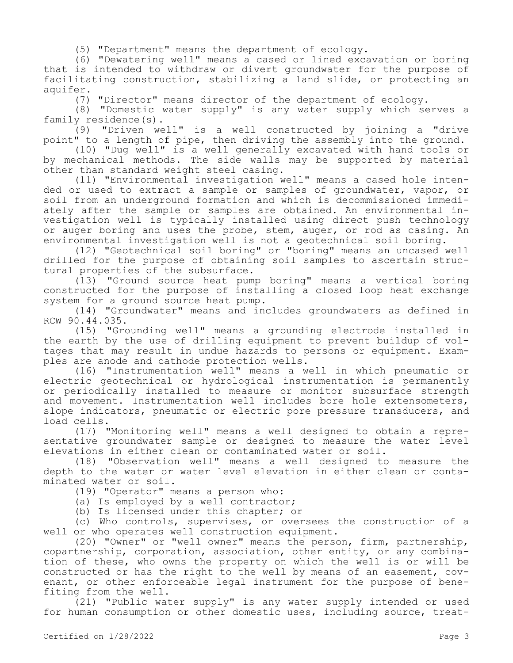(5) "Department" means the department of ecology.

(6) "Dewatering well" means a cased or lined excavation or boring that is intended to withdraw or divert groundwater for the purpose of facilitating construction, stabilizing a land slide, or protecting an aquifer.

(7) "Director" means director of the department of ecology.

(8) "Domestic water supply" is any water supply which serves a family residence(s).

(9) "Driven well" is a well constructed by joining a "drive point" to a length of pipe, then driving the assembly into the ground.

(10) "Dug well" is a well generally excavated with hand tools or by mechanical methods. The side walls may be supported by material other than standard weight steel casing.

(11) "Environmental investigation well" means a cased hole intended or used to extract a sample or samples of groundwater, vapor, or soil from an underground formation and which is decommissioned immediately after the sample or samples are obtained. An environmental investigation well is typically installed using direct push technology or auger boring and uses the probe, stem, auger, or rod as casing. An environmental investigation well is not a geotechnical soil boring.

(12) "Geotechnical soil boring" or "boring" means an uncased well drilled for the purpose of obtaining soil samples to ascertain structural properties of the subsurface.

(13) "Ground source heat pump boring" means a vertical boring constructed for the purpose of installing a closed loop heat exchange system for a ground source heat pump.

(14) "Groundwater" means and includes groundwaters as defined in RCW 90.44.035.

(15) "Grounding well" means a grounding electrode installed in the earth by the use of drilling equipment to prevent buildup of voltages that may result in undue hazards to persons or equipment. Examples are anode and cathode protection wells.

(16) "Instrumentation well" means a well in which pneumatic or electric geotechnical or hydrological instrumentation is permanently or periodically installed to measure or monitor subsurface strength and movement. Instrumentation well includes bore hole extensometers, slope indicators, pneumatic or electric pore pressure transducers, and load cells.

(17) "Monitoring well" means a well designed to obtain a representative groundwater sample or designed to measure the water level elevations in either clean or contaminated water or soil.

(18) "Observation well" means a well designed to measure the depth to the water or water level elevation in either clean or contaminated water or soil.

(19) "Operator" means a person who:

(a) Is employed by a well contractor;

(b) Is licensed under this chapter; or

(c) Who controls, supervises, or oversees the construction of a well or who operates well construction equipment.

(20) "Owner" or "well owner" means the person, firm, partnership, copartnership, corporation, association, other entity, or any combination of these, who owns the property on which the well is or will be constructed or has the right to the well by means of an easement, covenant, or other enforceable legal instrument for the purpose of benefiting from the well.

(21) "Public water supply" is any water supply intended or used for human consumption or other domestic uses, including source, treat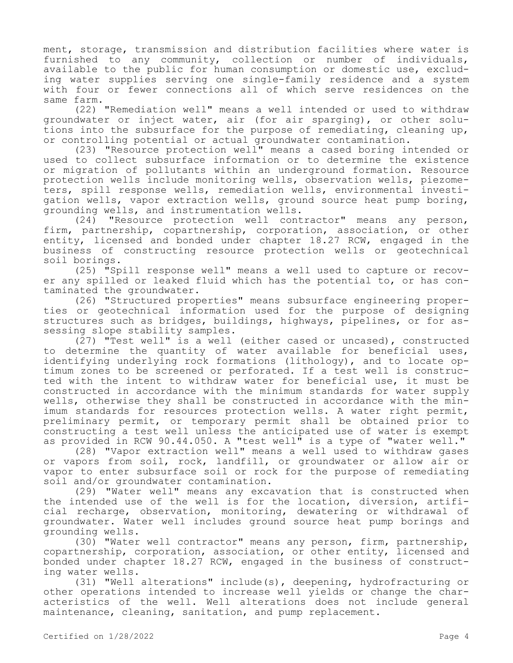ment, storage, transmission and distribution facilities where water is furnished to any community, collection or number of individuals, available to the public for human consumption or domestic use, excluding water supplies serving one single-family residence and a system with four or fewer connections all of which serve residences on the same farm.

(22) "Remediation well" means a well intended or used to withdraw groundwater or inject water, air (for air sparging), or other solutions into the subsurface for the purpose of remediating, cleaning up, or controlling potential or actual groundwater contamination.

(23) "Resource protection well" means a cased boring intended or used to collect subsurface information or to determine the existence or migration of pollutants within an underground formation. Resource protection wells include monitoring wells, observation wells, piezometers, spill response wells, remediation wells, environmental investigation wells, vapor extraction wells, ground source heat pump boring, grounding wells, and instrumentation wells.

(24) "Resource protection well contractor" means any person, firm, partnership, copartnership, corporation, association, or other entity, licensed and bonded under chapter 18.27 RCW, engaged in the business of constructing resource protection wells or geotechnical soil borings.

(25) "Spill response well" means a well used to capture or recover any spilled or leaked fluid which has the potential to, or has contaminated the groundwater.

(26) "Structured properties" means subsurface engineering properties or geotechnical information used for the purpose of designing structures such as bridges, buildings, highways, pipelines, or for assessing slope stability samples.

(27) "Test well" is a well (either cased or uncased), constructed to determine the quantity of water available for beneficial uses, identifying underlying rock formations (lithology), and to locate optimum zones to be screened or perforated. If a test well is constructed with the intent to withdraw water for beneficial use, it must be constructed in accordance with the minimum standards for water supply wells, otherwise they shall be constructed in accordance with the minimum standards for resources protection wells. A water right permit, preliminary permit, or temporary permit shall be obtained prior to constructing a test well unless the anticipated use of water is exempt as provided in RCW 90.44.050. A "test well" is a type of "water well."

(28) "Vapor extraction well" means a well used to withdraw gases or vapors from soil, rock, landfill, or groundwater or allow air or vapor to enter subsurface soil or rock for the purpose of remediating soil and/or groundwater contamination.

(29) "Water well" means any excavation that is constructed when the intended use of the well is for the location, diversion, artificial recharge, observation, monitoring, dewatering or withdrawal of groundwater. Water well includes ground source heat pump borings and grounding wells.

(30) "Water well contractor" means any person, firm, partnership, copartnership, corporation, association, or other entity, licensed and bonded under chapter 18.27 RCW, engaged in the business of constructing water wells.

(31) "Well alterations" include(s), deepening, hydrofracturing or other operations intended to increase well yields or change the characteristics of the well. Well alterations does not include general maintenance, cleaning, sanitation, and pump replacement.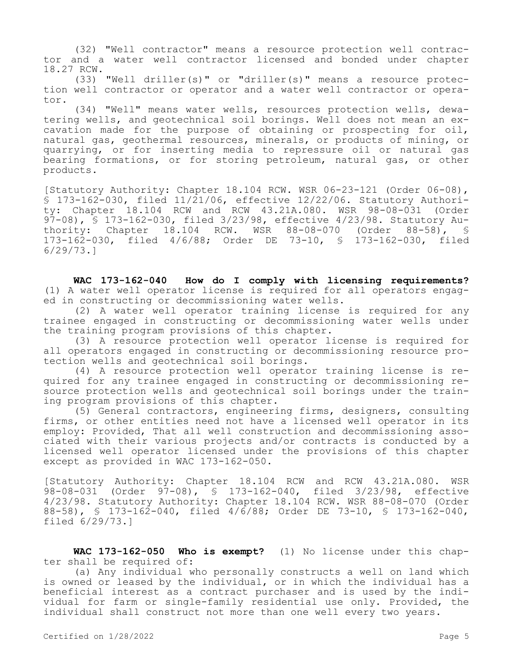(32) "Well contractor" means a resource protection well contractor and a water well contractor licensed and bonded under chapter 18.27 RCW.

(33) "Well driller(s)" or "driller(s)" means a resource protection well contractor or operator and a water well contractor or operator.

(34) "Well" means water wells, resources protection wells, dewatering wells, and geotechnical soil borings. Well does not mean an excavation made for the purpose of obtaining or prospecting for oil, natural gas, geothermal resources, minerals, or products of mining, or quarrying, or for inserting media to repressure oil or natural gas bearing formations, or for storing petroleum, natural gas, or other products.

[Statutory Authority: Chapter 18.104 RCW. WSR 06-23-121 (Order 06-08), § 173-162-030, filed 11/21/06, effective 12/22/06. Statutory Authority: Chapter 18.104 RCW and RCW 43.21A.080. WSR 98-08-031 (Order 97-08), § 173-162-030, filed 3/23/98, effective 4/23/98. Statutory Authority: Chapter 18.104 RCW. WSR 88-08-070 (Order 88-58), § 173-162-030, filed 4/6/88; Order DE 73-10, § 173-162-030, filed 6/29/73.]

**WAC 173-162-040 How do I comply with licensing requirements?**  (1) A water well operator license is required for all operators engaged in constructing or decommissioning water wells.

(2) A water well operator training license is required for any trainee engaged in constructing or decommissioning water wells under the training program provisions of this chapter.

(3) A resource protection well operator license is required for all operators engaged in constructing or decommissioning resource protection wells and geotechnical soil borings.

(4) A resource protection well operator training license is required for any trainee engaged in constructing or decommissioning resource protection wells and geotechnical soil borings under the training program provisions of this chapter.

(5) General contractors, engineering firms, designers, consulting firms, or other entities need not have a licensed well operator in its employ: Provided, That all well construction and decommissioning associated with their various projects and/or contracts is conducted by a licensed well operator licensed under the provisions of this chapter except as provided in WAC 173-162-050.

[Statutory Authority: Chapter 18.104 RCW and RCW 43.21A.080. WSR 98-08-031 (Order 97-08), § 173-162-040, filed 3/23/98, effective 4/23/98. Statutory Authority: Chapter 18.104 RCW. WSR 88-08-070 (Order 88-58), § 173-162-040, filed 4/6/88; Order DE 73-10, § 173-162-040, filed 6/29/73.]

**WAC 173-162-050 Who is exempt?** (1) No license under this chapter shall be required of:

(a) Any individual who personally constructs a well on land which is owned or leased by the individual, or in which the individual has a beneficial interest as a contract purchaser and is used by the individual for farm or single-family residential use only. Provided, the individual shall construct not more than one well every two years.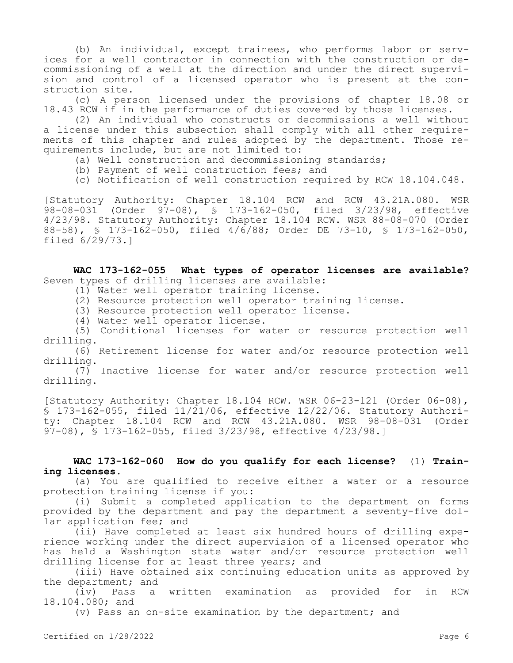(b) An individual, except trainees, who performs labor or services for a well contractor in connection with the construction or decommissioning of a well at the direction and under the direct supervision and control of a licensed operator who is present at the construction site.

(c) A person licensed under the provisions of chapter 18.08 or 18.43 RCW if in the performance of duties covered by those licenses.

(2) An individual who constructs or decommissions a well without a license under this subsection shall comply with all other requirements of this chapter and rules adopted by the department. Those requirements include, but are not limited to:

- (a) Well construction and decommissioning standards;
- (b) Payment of well construction fees; and
- (c) Notification of well construction required by RCW 18.104.048.

[Statutory Authority: Chapter 18.104 RCW and RCW 43.21A.080. WSR 98-08-031 (Order 97-08), § 173-162-050, filed 3/23/98, effective 4/23/98. Statutory Authority: Chapter 18.104 RCW. WSR 88-08-070 (Order 88-58), § 173-162-050, filed 4/6/88; Order DE 73-10, § 173-162-050, filed 6/29/73.]

**WAC 173-162-055 What types of operator licenses are available?**  Seven types of drilling licenses are available:

- (1) Water well operator training license.
- (2) Resource protection well operator training license.
- (3) Resource protection well operator license.
- (4) Water well operator license.

(5) Conditional licenses for water or resource protection well drilling.

(6) Retirement license for water and/or resource protection well drilling.

(7) Inactive license for water and/or resource protection well drilling.

[Statutory Authority: Chapter 18.104 RCW. WSR 06-23-121 (Order 06-08), § 173-162-055, filed 11/21/06, effective 12/22/06. Statutory Authority: Chapter 18.104 RCW and RCW 43.21A.080. WSR 98-08-031 (Order 97-08), § 173-162-055, filed 3/23/98, effective 4/23/98.]

# **WAC 173-162-060 How do you qualify for each license?** (1) **Training licenses.**

(a) You are qualified to receive either a water or a resource protection training license if you:

(i) Submit a completed application to the department on forms provided by the department and pay the department a seventy-five dollar application fee; and

(ii) Have completed at least six hundred hours of drilling experience working under the direct supervision of a licensed operator who has held a Washington state water and/or resource protection well drilling license for at least three years; and

(iii) Have obtained six continuing education units as approved by the department; and

(iv) Pass a written examination as provided for in RCW 18.104.080; and

(v) Pass an on-site examination by the department; and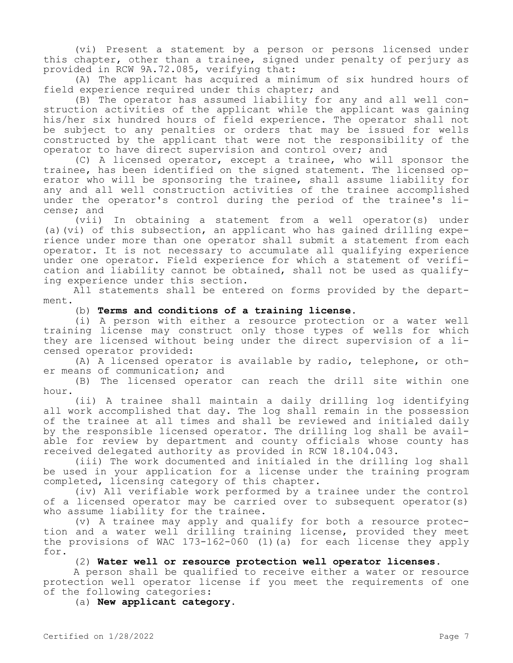(vi) Present a statement by a person or persons licensed under this chapter, other than a trainee, signed under penalty of perjury as provided in RCW 9A.72.085, verifying that:

(A) The applicant has acquired a minimum of six hundred hours of field experience required under this chapter; and

(B) The operator has assumed liability for any and all well construction activities of the applicant while the applicant was gaining his/her six hundred hours of field experience. The operator shall not be subject to any penalties or orders that may be issued for wells constructed by the applicant that were not the responsibility of the operator to have direct supervision and control over; and

(C) A licensed operator, except a trainee, who will sponsor the trainee, has been identified on the signed statement. The licensed operator who will be sponsoring the trainee, shall assume liability for any and all well construction activities of the trainee accomplished under the operator's control during the period of the trainee's license; and

(vii) In obtaining a statement from a well operator(s) under (a)(vi) of this subsection, an applicant who has gained drilling experience under more than one operator shall submit a statement from each operator. It is not necessary to accumulate all qualifying experience under one operator. Field experience for which a statement of verification and liability cannot be obtained, shall not be used as qualifying experience under this section.

All statements shall be entered on forms provided by the department.

# (b) **Terms and conditions of a training license.**

(i) A person with either a resource protection or a water well training license may construct only those types of wells for which they are licensed without being under the direct supervision of a licensed operator provided:

(A) A licensed operator is available by radio, telephone, or other means of communication; and

(B) The licensed operator can reach the drill site within one hour.

(ii) A trainee shall maintain a daily drilling log identifying all work accomplished that day. The log shall remain in the possession of the trainee at all times and shall be reviewed and initialed daily by the responsible licensed operator. The drilling log shall be available for review by department and county officials whose county has received delegated authority as provided in RCW 18.104.043.

(iii) The work documented and initialed in the drilling log shall be used in your application for a license under the training program completed, licensing category of this chapter.

(iv) All verifiable work performed by a trainee under the control of a licensed operator may be carried over to subsequent operator(s) who assume liability for the trainee.

(v) A trainee may apply and qualify for both a resource protection and a water well drilling training license, provided they meet the provisions of WAC 173-162-060 (1)(a) for each license they apply for.

(2) **Water well or resource protection well operator licenses.**

A person shall be qualified to receive either a water or resource protection well operator license if you meet the requirements of one of the following categories:

(a) **New applicant category.**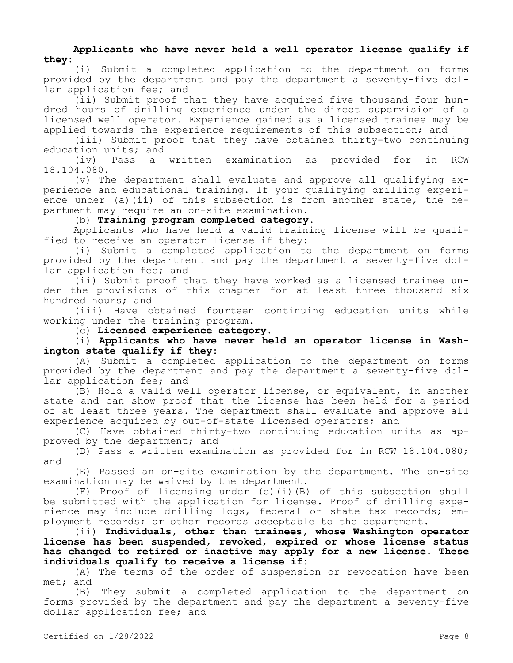# **Applicants who have never held a well operator license qualify if they:**

(i) Submit a completed application to the department on forms provided by the department and pay the department a seventy-five dollar application fee; and

(ii) Submit proof that they have acquired five thousand four hundred hours of drilling experience under the direct supervision of a licensed well operator. Experience gained as a licensed trainee may be applied towards the experience requirements of this subsection; and

(iii) Submit proof that they have obtained thirty-two continuing education units; and<br>(iv) Pass a

Pass a written examination as provided for in RCW 18.104.080.

(v) The department shall evaluate and approve all qualifying experience and educational training. If your qualifying drilling experience under (a)(ii) of this subsection is from another state, the department may require an on-site examination.

(b) **Training program completed category.**

Applicants who have held a valid training license will be qualified to receive an operator license if they:

(i) Submit a completed application to the department on forms provided by the department and pay the department a seventy-five dollar application fee; and

(ii) Submit proof that they have worked as a licensed trainee under the provisions of this chapter for at least three thousand six hundred hours; and

(iii) Have obtained fourteen continuing education units while working under the training program.

(c) **Licensed experience category.**

(i) **Applicants who have never held an operator license in Washington state qualify if they:**

(A) Submit a completed application to the department on forms provided by the department and pay the department a seventy-five dollar application fee; and

(B) Hold a valid well operator license, or equivalent, in another state and can show proof that the license has been held for a period of at least three years. The department shall evaluate and approve all experience acquired by out-of-state licensed operators; and

(C) Have obtained thirty-two continuing education units as approved by the department; and

(D) Pass a written examination as provided for in RCW 18.104.080; and

(E) Passed an on-site examination by the department. The on-site examination may be waived by the department.

(F) Proof of licensing under (c)(i)(B) of this subsection shall be submitted with the application for license. Proof of drilling experience may include drilling logs, federal or state tax records; employment records; or other records acceptable to the department.

(ii) **Individuals, other than trainees, whose Washington operator license has been suspended, revoked, expired or whose license status has changed to retired or inactive may apply for a new license. These individuals qualify to receive a license if:**

(A) The terms of the order of suspension or revocation have been met; and

(B) They submit a completed application to the department on forms provided by the department and pay the department a seventy-five dollar application fee; and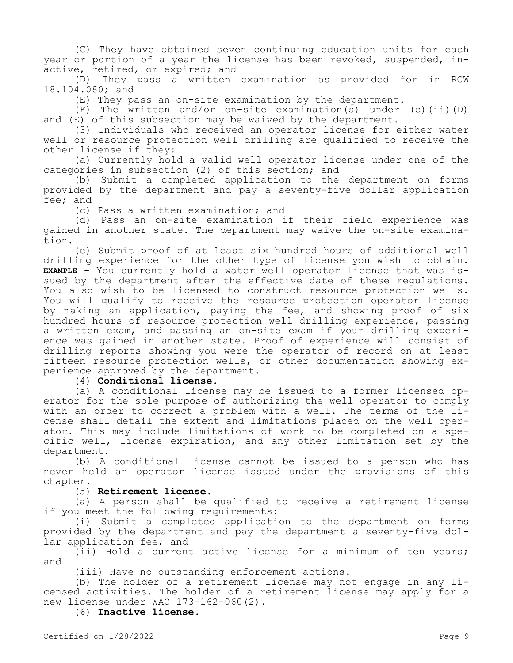(C) They have obtained seven continuing education units for each year or portion of a year the license has been revoked, suspended, inactive, retired, or expired; and

(D) They pass a written examination as provided for in RCW 18.104.080; and

(E) They pass an on-site examination by the department.

(F) The written and/or on-site examination(s) under (c)(ii)(D) and (E) of this subsection may be waived by the department.

(3) Individuals who received an operator license for either water well or resource protection well drilling are qualified to receive the other license if they:

(a) Currently hold a valid well operator license under one of the categories in subsection (2) of this section; and

(b) Submit a completed application to the department on forms provided by the department and pay a seventy-five dollar application fee; and

(c) Pass a written examination; and

(d) Pass an on-site examination if their field experience was gained in another state. The department may waive the on-site examination.

(e) Submit proof of at least six hundred hours of additional well drilling experience for the other type of license you wish to obtain. **EXAMPLE -** You currently hold a water well operator license that was issued by the department after the effective date of these regulations. You also wish to be licensed to construct resource protection wells. You will qualify to receive the resource protection operator license by making an application, paying the fee, and showing proof of six hundred hours of resource protection well drilling experience, passing a written exam, and passing an on-site exam if your drilling experience was gained in another state. Proof of experience will consist of drilling reports showing you were the operator of record on at least fifteen resource protection wells, or other documentation showing experience approved by the department.

(4) **Conditional license.**

(a) A conditional license may be issued to a former licensed operator for the sole purpose of authorizing the well operator to comply with an order to correct a problem with a well. The terms of the license shall detail the extent and limitations placed on the well operator. This may include limitations of work to be completed on a specific well, license expiration, and any other limitation set by the department.

(b) A conditional license cannot be issued to a person who has never held an operator license issued under the provisions of this chapter.

# (5) **Retirement license.**

(a) A person shall be qualified to receive a retirement license if you meet the following requirements:

(i) Submit a completed application to the department on forms provided by the department and pay the department a seventy-five dollar application fee; and

(ii) Hold a current active license for a minimum of ten years; and

(iii) Have no outstanding enforcement actions.

(b) The holder of a retirement license may not engage in any licensed activities. The holder of a retirement license may apply for a new license under WAC 173-162-060(2).

(6) **Inactive license.**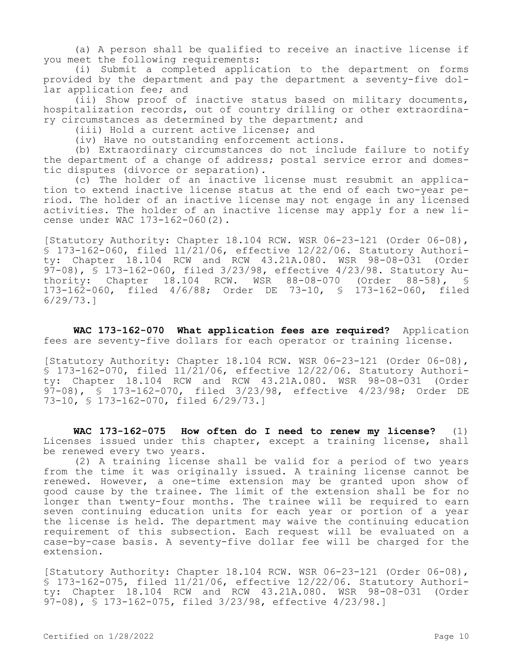(a) A person shall be qualified to receive an inactive license if you meet the following requirements:

(i) Submit a completed application to the department on forms provided by the department and pay the department a seventy-five dollar application fee; and

(ii) Show proof of inactive status based on military documents, hospitalization records, out of country drilling or other extraordinary circumstances as determined by the department; and

(iii) Hold a current active license; and

(iv) Have no outstanding enforcement actions.

(b) Extraordinary circumstances do not include failure to notify the department of a change of address; postal service error and domestic disputes (divorce or separation).

(c) The holder of an inactive license must resubmit an application to extend inactive license status at the end of each two-year period. The holder of an inactive license may not engage in any licensed activities. The holder of an inactive license may apply for a new license under WAC 173-162-060(2).

[Statutory Authority: Chapter 18.104 RCW. WSR 06-23-121 (Order 06-08), § 173-162-060, filed 11/21/06, effective 12/22/06. Statutory Authority: Chapter 18.104 RCW and RCW 43.21A.080. WSR 98-08-031 (Order 97-08), § 173-162-060, filed 3/23/98, effective 4/23/98. Statutory Authority: Chapter 18.104 RCW. WSR 88-08-070 (Order 88-58), § 173-162-060, filed 4/6/88; Order DE 73-10, § 173-162-060, filed 6/29/73.]

**WAC 173-162-070 What application fees are required?** Application fees are seventy-five dollars for each operator or training license.

[Statutory Authority: Chapter 18.104 RCW. WSR 06-23-121 (Order 06-08), § 173-162-070, filed 11/21/06, effective 12/22/06. Statutory Authority: Chapter 18.104 RCW and RCW 43.21A.080. WSR 98-08-031 (Order 97-08), § 173-162-070, filed 3/23/98, effective 4/23/98; Order DE 73-10, § 173-162-070, filed 6/29/73.]

**WAC 173-162-075 How often do I need to renew my license?** (1) Licenses issued under this chapter, except a training license, shall be renewed every two years.

(2) A training license shall be valid for a period of two years from the time it was originally issued. A training license cannot be renewed. However, a one-time extension may be granted upon show of good cause by the trainee. The limit of the extension shall be for no longer than twenty-four months. The trainee will be required to earn seven continuing education units for each year or portion of a year the license is held. The department may waive the continuing education requirement of this subsection. Each request will be evaluated on a case-by-case basis. A seventy-five dollar fee will be charged for the extension.

[Statutory Authority: Chapter 18.104 RCW. WSR 06-23-121 (Order 06-08), § 173-162-075, filed 11/21/06, effective 12/22/06. Statutory Authority: Chapter 18.104 RCW and RCW 43.21A.080. WSR 98-08-031 (Order 97-08), § 173-162-075, filed 3/23/98, effective 4/23/98.]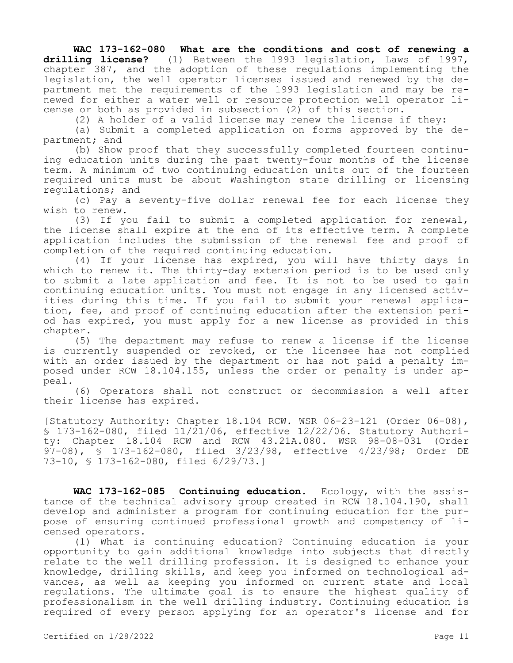**WAC 173-162-080 What are the conditions and cost of renewing a drilling license?** (1) Between the 1993 legislation, Laws of 1997, chapter 387, and the adoption of these regulations implementing the legislation, the well operator licenses issued and renewed by the department met the requirements of the 1993 legislation and may be renewed for either a water well or resource protection well operator license or both as provided in subsection (2) of this section.

(2) A holder of a valid license may renew the license if they:

(a) Submit a completed application on forms approved by the department; and

(b) Show proof that they successfully completed fourteen continuing education units during the past twenty-four months of the license term. A minimum of two continuing education units out of the fourteen required units must be about Washington state drilling or licensing regulations; and

(c) Pay a seventy-five dollar renewal fee for each license they wish to renew.

(3) If you fail to submit a completed application for renewal, the license shall expire at the end of its effective term. A complete application includes the submission of the renewal fee and proof of completion of the required continuing education.

(4) If your license has expired, you will have thirty days in which to renew it. The thirty-day extension period is to be used only to submit a late application and fee. It is not to be used to gain continuing education units. You must not engage in any licensed activities during this time. If you fail to submit your renewal application, fee, and proof of continuing education after the extension period has expired, you must apply for a new license as provided in this chapter.

(5) The department may refuse to renew a license if the license is currently suspended or revoked, or the licensee has not complied with an order issued by the department or has not paid a penalty imposed under RCW 18.104.155, unless the order or penalty is under appeal.

(6) Operators shall not construct or decommission a well after their license has expired.

[Statutory Authority: Chapter 18.104 RCW. WSR 06-23-121 (Order 06-08), § 173-162-080, filed 11/21/06, effective 12/22/06. Statutory Authority: Chapter 18.104 RCW and RCW 43.21A.080. WSR 98-08-031 (Order 97-08), § 173-162-080, filed 3/23/98, effective 4/23/98; Order DE 73-10, § 173-162-080, filed 6/29/73.]

**WAC 173-162-085 Continuing education.** Ecology, with the assistance of the technical advisory group created in RCW 18.104.190, shall develop and administer a program for continuing education for the purpose of ensuring continued professional growth and competency of licensed operators.

(1) What is continuing education? Continuing education is your opportunity to gain additional knowledge into subjects that directly relate to the well drilling profession. It is designed to enhance your knowledge, drilling skills, and keep you informed on technological advances, as well as keeping you informed on current state and local regulations. The ultimate goal is to ensure the highest quality of professionalism in the well drilling industry. Continuing education is required of every person applying for an operator's license and for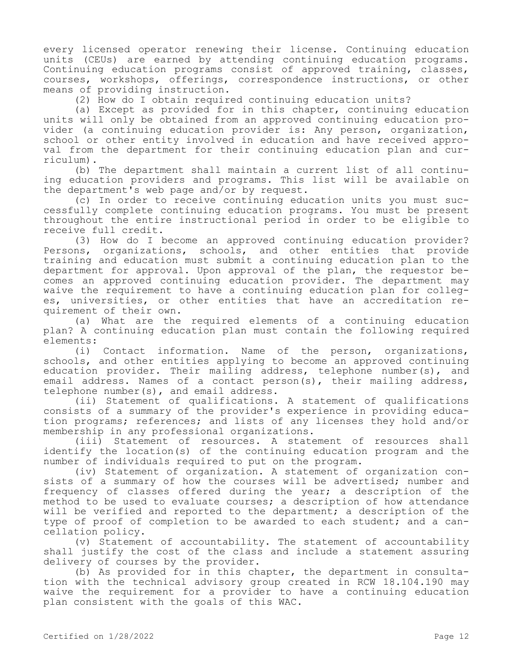every licensed operator renewing their license. Continuing education units (CEUs) are earned by attending continuing education programs. Continuing education programs consist of approved training, classes, courses, workshops, offerings, correspondence instructions, or other means of providing instruction.

(2) How do I obtain required continuing education units?

(a) Except as provided for in this chapter, continuing education units will only be obtained from an approved continuing education provider (a continuing education provider is: Any person, organization, school or other entity involved in education and have received approval from the department for their continuing education plan and curriculum).

(b) The department shall maintain a current list of all continuing education providers and programs. This list will be available on the department's web page and/or by request.

(c) In order to receive continuing education units you must successfully complete continuing education programs. You must be present throughout the entire instructional period in order to be eligible to receive full credit.

(3) How do I become an approved continuing education provider? Persons, organizations, schools, and other entities that provide training and education must submit a continuing education plan to the department for approval. Upon approval of the plan, the requestor becomes an approved continuing education provider. The department may waive the requirement to have a continuing education plan for colleges, universities, or other entities that have an accreditation requirement of their own.

(a) What are the required elements of a continuing education plan? A continuing education plan must contain the following required elements:

(i) Contact information. Name of the person, organizations, schools, and other entities applying to become an approved continuing education provider. Their mailing address, telephone number(s), and email address. Names of a contact person(s), their mailing address, telephone number(s), and email address.

(ii) Statement of qualifications. A statement of qualifications consists of a summary of the provider's experience in providing education programs; references; and lists of any licenses they hold and/or membership in any professional organizations.

(iii) Statement of resources. A statement of resources shall identify the location(s) of the continuing education program and the number of individuals required to put on the program.

(iv) Statement of organization. A statement of organization consists of a summary of how the courses will be advertised; number and frequency of classes offered during the year; a description of the method to be used to evaluate courses; a description of how attendance will be verified and reported to the department; a description of the type of proof of completion to be awarded to each student; and a cancellation policy.

(v) Statement of accountability. The statement of accountability shall justify the cost of the class and include a statement assuring delivery of courses by the provider.

(b) As provided for in this chapter, the department in consultation with the technical advisory group created in RCW 18.104.190 may waive the requirement for a provider to have a continuing education plan consistent with the goals of this WAC.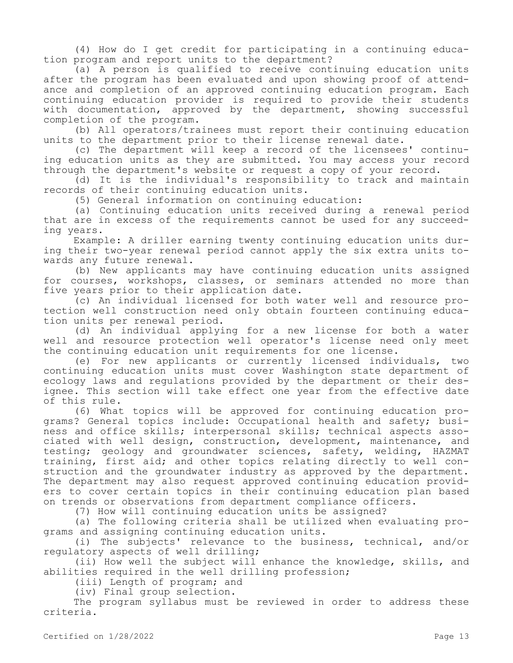(4) How do I get credit for participating in a continuing education program and report units to the department?

(a) A person is qualified to receive continuing education units after the program has been evaluated and upon showing proof of attendance and completion of an approved continuing education program. Each continuing education provider is required to provide their students with documentation, approved by the department, showing successful completion of the program.

(b) All operators/trainees must report their continuing education units to the department prior to their license renewal date.

(c) The department will keep a record of the licensees' continuing education units as they are submitted. You may access your record through the department's website or request a copy of your record.

(d) It is the individual's responsibility to track and maintain records of their continuing education units.

(5) General information on continuing education:

(a) Continuing education units received during a renewal period that are in excess of the requirements cannot be used for any succeeding years.

Example: A driller earning twenty continuing education units during their two-year renewal period cannot apply the six extra units towards any future renewal.

(b) New applicants may have continuing education units assigned for courses, workshops, classes, or seminars attended no more than five years prior to their application date.

(c) An individual licensed for both water well and resource protection well construction need only obtain fourteen continuing education units per renewal period.

(d) An individual applying for a new license for both a water well and resource protection well operator's license need only meet the continuing education unit requirements for one license.

(e) For new applicants or currently licensed individuals, two continuing education units must cover Washington state department of ecology laws and regulations provided by the department or their designee. This section will take effect one year from the effective date of this rule.

(6) What topics will be approved for continuing education programs? General topics include: Occupational health and safety; business and office skills; interpersonal skills; technical aspects associated with well design, construction, development, maintenance, and testing; geology and groundwater sciences, safety, welding, HAZMAT training, first aid; and other topics relating directly to well construction and the groundwater industry as approved by the department. The department may also request approved continuing education providers to cover certain topics in their continuing education plan based on trends or observations from department compliance officers.

(7) How will continuing education units be assigned?

(a) The following criteria shall be utilized when evaluating programs and assigning continuing education units.

(i) The subjects' relevance to the business, technical, and/or regulatory aspects of well drilling;

(ii) How well the subject will enhance the knowledge, skills, and abilities required in the well drilling profession;

(iii) Length of program; and

(iv) Final group selection.

The program syllabus must be reviewed in order to address these criteria.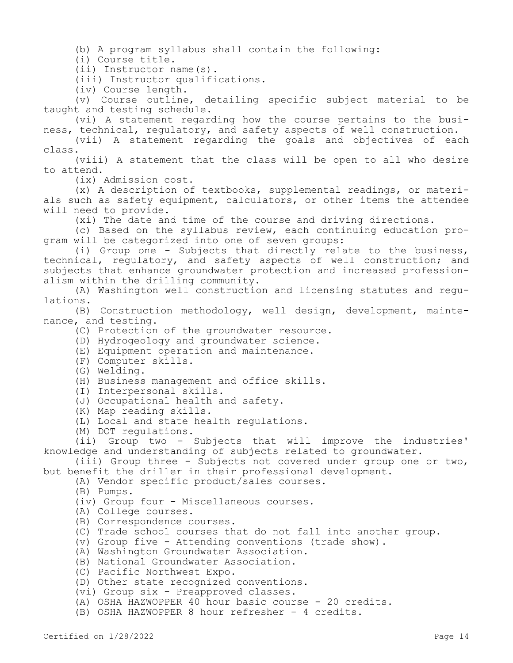(b) A program syllabus shall contain the following:

(i) Course title.

(ii) Instructor name(s).

(iii) Instructor qualifications.

(iv) Course length.

(v) Course outline, detailing specific subject material to be taught and testing schedule.

(vi) A statement regarding how the course pertains to the business, technical, regulatory, and safety aspects of well construction.

(vii) A statement regarding the goals and objectives of each class.

(viii) A statement that the class will be open to all who desire to attend.

(ix) Admission cost.

(x) A description of textbooks, supplemental readings, or materials such as safety equipment, calculators, or other items the attendee will need to provide.

(xi) The date and time of the course and driving directions.

(c) Based on the syllabus review, each continuing education program will be categorized into one of seven groups:

(i) Group one - Subjects that directly relate to the business, technical, regulatory, and safety aspects of well construction; and subjects that enhance groundwater protection and increased professionalism within the drilling community.

(A) Washington well construction and licensing statutes and regulations.

(B) Construction methodology, well design, development, maintenance, and testing.

(C) Protection of the groundwater resource.

- (D) Hydrogeology and groundwater science.
- (E) Equipment operation and maintenance.
- (F) Computer skills.
- (G) Welding.
- (H) Business management and office skills.
- (I) Interpersonal skills.
- (J) Occupational health and safety.
- (K) Map reading skills.
- (L) Local and state health regulations.

(M) DOT regulations.

(ii) Group two - Subjects that will improve the industries' knowledge and understanding of subjects related to groundwater.

(iii) Group three - Subjects not covered under group one or two, but benefit the driller in their professional development.

(A) Vendor specific product/sales courses.

- (B) Pumps.
- (iv) Group four Miscellaneous courses.
- (A) College courses.
- (B) Correspondence courses.
- (C) Trade school courses that do not fall into another group.

(v) Group five - Attending conventions (trade show).

- (A) Washington Groundwater Association.
- (B) National Groundwater Association.
- (C) Pacific Northwest Expo.
- (D) Other state recognized conventions.
- (vi) Group six Preapproved classes.
- (A) OSHA HAZWOPPER 40 hour basic course 20 credits.
- (B) OSHA HAZWOPPER 8 hour refresher 4 credits.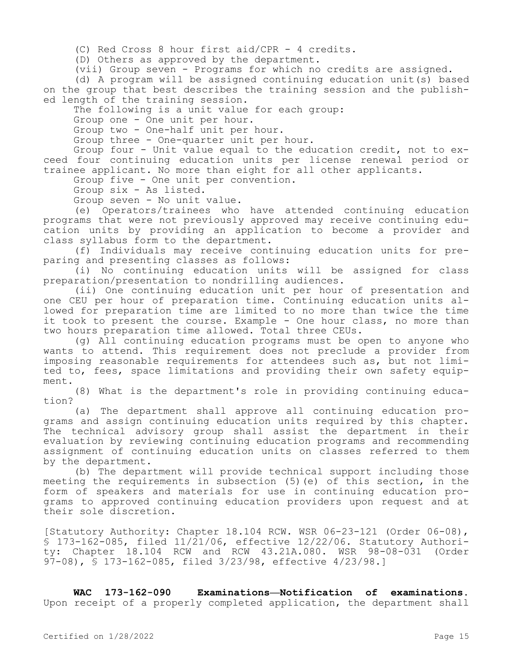(C) Red Cross 8 hour first aid/CPR - 4 credits.

(D) Others as approved by the department.

(vii) Group seven - Programs for which no credits are assigned.

(d) A program will be assigned continuing education unit(s) based on the group that best describes the training session and the published length of the training session.

The following is a unit value for each group:

Group one - One unit per hour.

Group two - One-half unit per hour.

Group three - One-quarter unit per hour.

Group four - Unit value equal to the education credit, not to exceed four continuing education units per license renewal period or trainee applicant. No more than eight for all other applicants.

Group five - One unit per convention.

Group six - As listed.

Group seven - No unit value.

(e) Operators/trainees who have attended continuing education programs that were not previously approved may receive continuing education units by providing an application to become a provider and class syllabus form to the department.

(f) Individuals may receive continuing education units for preparing and presenting classes as follows:

(i) No continuing education units will be assigned for class preparation/presentation to nondrilling audiences.

(ii) One continuing education unit per hour of presentation and one CEU per hour of preparation time. Continuing education units allowed for preparation time are limited to no more than twice the time it took to present the course. Example - One hour class, no more than two hours preparation time allowed. Total three CEUs.

(g) All continuing education programs must be open to anyone who wants to attend. This requirement does not preclude a provider from imposing reasonable requirements for attendees such as, but not limited to, fees, space limitations and providing their own safety equipment.

(8) What is the department's role in providing continuing education?

(a) The department shall approve all continuing education programs and assign continuing education units required by this chapter. The technical advisory group shall assist the department in their evaluation by reviewing continuing education programs and recommending assignment of continuing education units on classes referred to them by the department.

(b) The department will provide technical support including those meeting the requirements in subsection (5)(e) of this section, in the form of speakers and materials for use in continuing education programs to approved continuing education providers upon request and at their sole discretion.

[Statutory Authority: Chapter 18.104 RCW. WSR 06-23-121 (Order 06-08), § 173-162-085, filed 11/21/06, effective 12/22/06. Statutory Authority: Chapter 18.104 RCW and RCW 43.21A.080. WSR 98-08-031 (Order 97-08), § 173-162-085, filed 3/23/98, effective 4/23/98.]

**WAC 173-162-090 Examinations—Notification of examinations.**  Upon receipt of a properly completed application, the department shall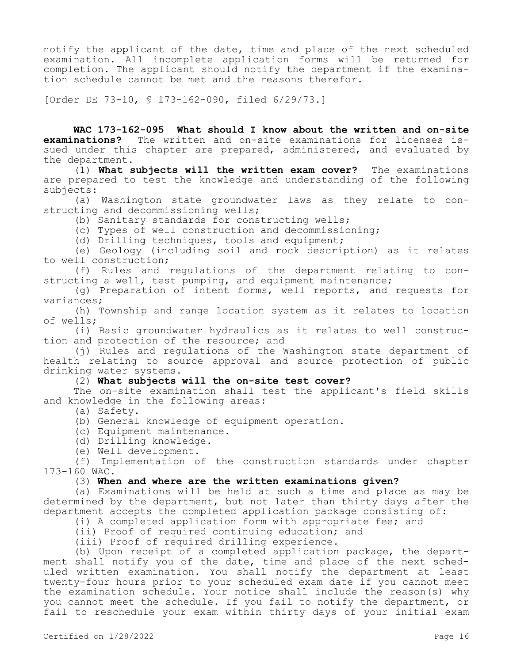notify the applicant of the date, time and place of the next scheduled examination. All incomplete application forms will be returned for completion. The applicant should notify the department if the examination schedule cannot be met and the reasons therefor.

[Order DE 73-10, § 173-162-090, filed 6/29/73.]

**WAC 173-162-095 What should I know about the written and on-site examinations?** The written and on-site examinations for licenses issued under this chapter are prepared, administered, and evaluated by the department.

(1) **What subjects will the written exam cover?** The examinations are prepared to test the knowledge and understanding of the following subjects:

(a) Washington state groundwater laws as they relate to constructing and decommissioning wells;

(b) Sanitary standards for constructing wells;

(c) Types of well construction and decommissioning;

(d) Drilling techniques, tools and equipment;

(e) Geology (including soil and rock description) as it relates to well construction;

(f) Rules and regulations of the department relating to constructing a well, test pumping, and equipment maintenance;

(g) Preparation of intent forms, well reports, and requests for variances;

(h) Township and range location system as it relates to location of wells;

(i) Basic groundwater hydraulics as it relates to well construction and protection of the resource; and

(j) Rules and regulations of the Washington state department of health relating to source approval and source protection of public drinking water systems.

### (2) **What subjects will the on-site test cover?**

The on-site examination shall test the applicant's field skills and knowledge in the following areas:

(a) Safety.

(b) General knowledge of equipment operation.

(c) Equipment maintenance.

(d) Drilling knowledge.

(e) Well development.

(f) Implementation of the construction standards under chapter 173-160 WAC.

# (3) **When and where are the written examinations given?**

(a) Examinations will be held at such a time and place as may be determined by the department, but not later than thirty days after the department accepts the completed application package consisting of:

(i) A completed application form with appropriate fee; and

(ii) Proof of required continuing education; and

(iii) Proof of required drilling experience.

(b) Upon receipt of a completed application package, the department shall notify you of the date, time and place of the next scheduled written examination. You shall notify the department at least twenty-four hours prior to your scheduled exam date if you cannot meet the examination schedule. Your notice shall include the reason(s) why you cannot meet the schedule. If you fail to notify the department, or fail to reschedule your exam within thirty days of your initial exam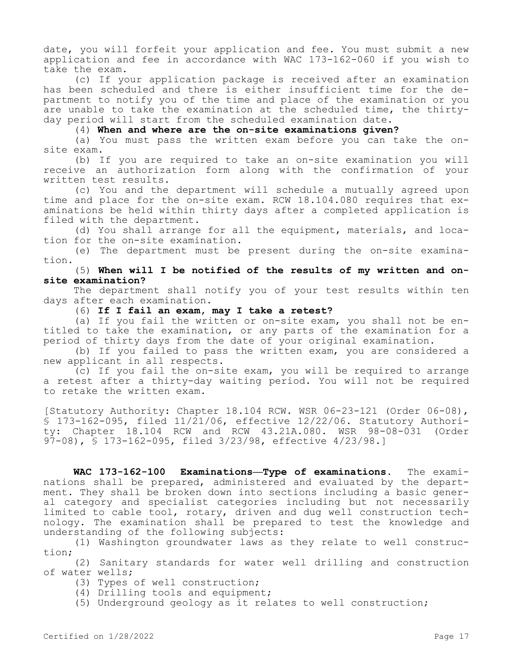date, you will forfeit your application and fee. You must submit a new application and fee in accordance with WAC 173-162-060 if you wish to take the exam.

(c) If your application package is received after an examination has been scheduled and there is either insufficient time for the department to notify you of the time and place of the examination or you are unable to take the examination at the scheduled time, the thirtyday period will start from the scheduled examination date.

(4) **When and where are the on-site examinations given?**

(a) You must pass the written exam before you can take the onsite exam.

(b) If you are required to take an on-site examination you will receive an authorization form along with the confirmation of your written test results.

(c) You and the department will schedule a mutually agreed upon time and place for the on-site exam. RCW 18.104.080 requires that examinations be held within thirty days after a completed application is filed with the department.

(d) You shall arrange for all the equipment, materials, and location for the on-site examination.

(e) The department must be present during the on-site examination.

# (5) **When will I be notified of the results of my written and onsite examination?**

The department shall notify you of your test results within ten days after each examination.

(6) **If I fail an exam, may I take a retest?**

(a) If you fail the written or on-site exam, you shall not be entitled to take the examination, or any parts of the examination for a period of thirty days from the date of your original examination.

(b) If you failed to pass the written exam, you are considered a new applicant in all respects.

(c) If you fail the on-site exam, you will be required to arrange a retest after a thirty-day waiting period. You will not be required to retake the written exam.

[Statutory Authority: Chapter 18.104 RCW. WSR 06-23-121 (Order 06-08), § 173-162-095, filed 11/21/06, effective 12/22/06. Statutory Authority: Chapter 18.104 RCW and RCW 43.21A.080. WSR 98-08-031 (Order 97-08), § 173-162-095, filed 3/23/98, effective 4/23/98.]

**WAC 173-162-100 Examinations—Type of examinations.** The examinations shall be prepared, administered and evaluated by the department. They shall be broken down into sections including a basic general category and specialist categories including but not necessarily limited to cable tool, rotary, driven and dug well construction technology. The examination shall be prepared to test the knowledge and understanding of the following subjects:

(1) Washington groundwater laws as they relate to well construction;

(2) Sanitary standards for water well drilling and construction of water wells;

- (3) Types of well construction;
- (4) Drilling tools and equipment;
- (5) Underground geology as it relates to well construction;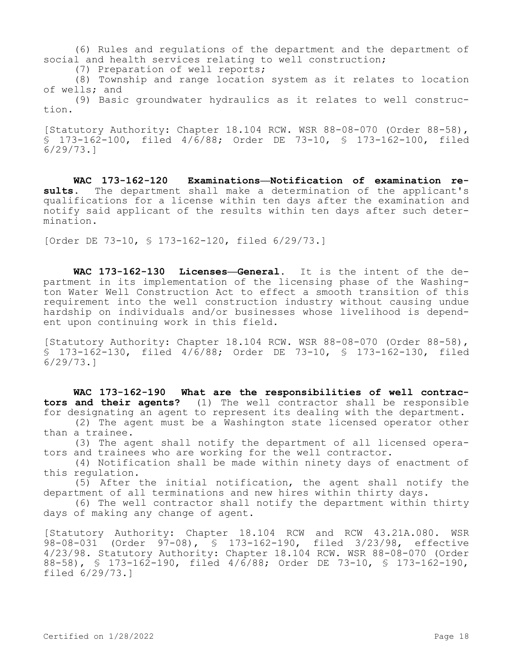(6) Rules and regulations of the department and the department of social and health services relating to well construction;

(7) Preparation of well reports;

(8) Township and range location system as it relates to location of wells; and

(9) Basic groundwater hydraulics as it relates to well construction.

[Statutory Authority: Chapter 18.104 RCW. WSR 88-08-070 (Order 88-58), § 173-162-100, filed 4/6/88; Order DE 73-10, § 173-162-100, filed 6/29/73.]

**WAC 173-162-120 Examinations—Notification of examination results.** The department shall make a determination of the applicant's qualifications for a license within ten days after the examination and notify said applicant of the results within ten days after such determination.

[Order DE 73-10, § 173-162-120, filed 6/29/73.]

**WAC 173-162-130 Licenses—General.** It is the intent of the department in its implementation of the licensing phase of the Washington Water Well Construction Act to effect a smooth transition of this requirement into the well construction industry without causing undue hardship on individuals and/or businesses whose livelihood is dependent upon continuing work in this field.

[Statutory Authority: Chapter 18.104 RCW. WSR 88-08-070 (Order 88-58), § 173-162-130, filed 4/6/88; Order DE 73-10, § 173-162-130, filed 6/29/73.]

**WAC 173-162-190 What are the responsibilities of well contractors and their agents?** (1) The well contractor shall be responsible for designating an agent to represent its dealing with the department.

(2) The agent must be a Washington state licensed operator other than a trainee.

(3) The agent shall notify the department of all licensed operators and trainees who are working for the well contractor.

(4) Notification shall be made within ninety days of enactment of this regulation.

(5) After the initial notification, the agent shall notify the department of all terminations and new hires within thirty days.

(6) The well contractor shall notify the department within thirty days of making any change of agent.

[Statutory Authority: Chapter 18.104 RCW and RCW 43.21A.080. WSR 98-08-031 (Order 97-08), § 173-162-190, filed 3/23/98, effective 4/23/98. Statutory Authority: Chapter 18.104 RCW. WSR 88-08-070 (Order 88-58), § 173-162-190, filed 4/6/88; Order DE 73-10, § 173-162-190, filed 6/29/73.]